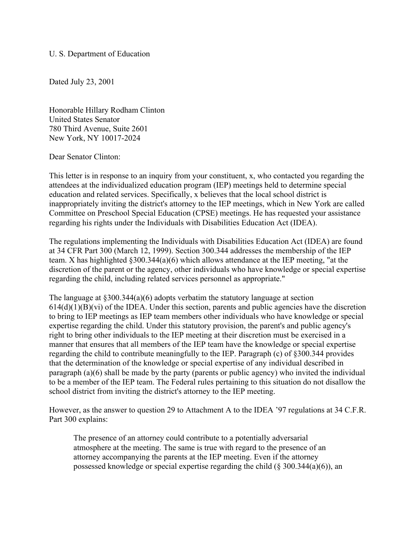## U. S. Department of Education

Dated July 23, 2001

Honorable Hillary Rodham Clinton United States Senator 780 Third Avenue, Suite 2601 New York, NY 10017-2024

Dear Senator Clinton:

This letter is in response to an inquiry from your constituent, x, who contacted you regarding the attendees at the individualized education program (IEP) meetings held to determine special education and related services. Specifically, x believes that the local school district is inappropriately inviting the district's attorney to the IEP meetings, which in New York are called Committee on Preschool Special Education (CPSE) meetings. He has requested your assistance regarding his rights under the Individuals with Disabilities Education Act (IDEA).

The regulations implementing the Individuals with Disabilities Education Act (IDEA) are found at 34 CFR Part 300 (March 12, 1999). Section 300.344 addresses the membership of the IEP team. X has highlighted §300.344(a)(6) which allows attendance at the IEP meeting, "at the discretion of the parent or the agency, other individuals who have knowledge or special expertise regarding the child, including related services personnel as appropriate."

The language at §300.344(a)(6) adopts verbatim the statutory language at section  $614(d)(1)(B)(vi)$  of the IDEA. Under this section, parents and public agencies have the discretion to bring to IEP meetings as IEP team members other individuals who have knowledge or special expertise regarding the child. Under this statutory provision, the parent's and public agency's right to bring other individuals to the IEP meeting at their discretion must be exercised in a manner that ensures that all members of the IEP team have the knowledge or special expertise regarding the child to contribute meaningfully to the IEP. Paragraph (c) of §300.344 provides that the determination of the knowledge or special expertise of any individual described in paragraph (a)(6) shall be made by the party (parents or public agency) who invited the individual to be a member of the IEP team. The Federal rules pertaining to this situation do not disallow the school district from inviting the district's attorney to the IEP meeting.

However, as the answer to question 29 to Attachment A to the IDEA '97 regulations at 34 C.F.R. Part 300 explains:

The presence of an attorney could contribute to a potentially adversarial atmosphere at the meeting. The same is true with regard to the presence of an attorney accompanying the parents at the IEP meeting. Even if the attorney possessed knowledge or special expertise regarding the child (§ 300.344(a)(6)), an